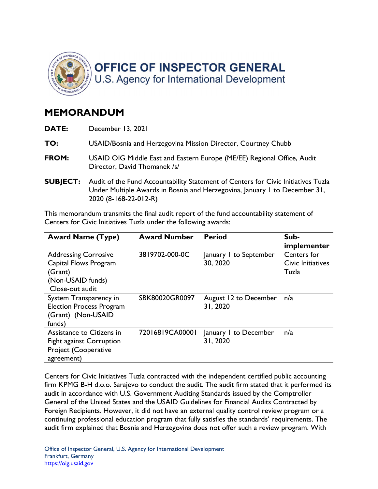

## MEMORANDUM

| DATE:           | December 13, 2021                                                                                                                                                                        |
|-----------------|------------------------------------------------------------------------------------------------------------------------------------------------------------------------------------------|
| TO:             | USAID/Bosnia and Herzegovina Mission Director, Courtney Chubb                                                                                                                            |
| FROM:           | USAID OIG Middle East and Eastern Europe (ME/EE) Regional Office, Audit<br>Director, David Thomanek /s/                                                                                  |
| <b>SUBJECT:</b> | Audit of the Fund Accountability Statement of Centers for Civic Initiatives Tuzla<br>Under Multiple Awards in Bosnia and Herzegovina, January 1 to December 31,<br>2020 (8-168-22-012-R) |

 This memorandum transmits the final audit report of the fund accountability statement of Centers for Civic Initiatives Tuzla under the following awards:

| <b>Award Name (Type)</b>                                                                                | <b>Award Number</b> | <b>Period</b>                      | Sub-<br>implementer                       |
|---------------------------------------------------------------------------------------------------------|---------------------|------------------------------------|-------------------------------------------|
| <b>Addressing Corrosive</b><br>Capital Flows Program<br>(Grant)<br>(Non-USAID funds)<br>Close-out audit | 3819702-000-0C      | January I to September<br>30, 2020 | Centers for<br>Civic Initiatives<br>Tuzla |
| System Transparency in<br><b>Election Process Program</b><br>(Grant) (Non-USAID<br>funds)               | SBK80020GR0097      | August 12 to December<br>31, 2020  | n/a                                       |
| Assistance to Citizens in<br><b>Fight against Corruption</b><br>Project (Cooperative<br>agreement)      | 72016819CA00001     | January I to December<br>31, 2020  | n/a                                       |

 Centers for Civic Initiatives Tuzla contracted with the independent certified public accounting firm KPMG B-H d.o.o. Sarajevo to conduct the audit. The audit firm stated that it performed its audit in accordance with U.S. Government Auditing Standards issued by the Comptroller General of the United States and the USAID Guidelines for Financial Audits Contracted by Foreign Recipients. However, it did not have an external quality control review program or a continuing professional education program that fully satisfies the standards' requirements. The audit firm explained that Bosnia and Herzegovina does not offer such a review program. With